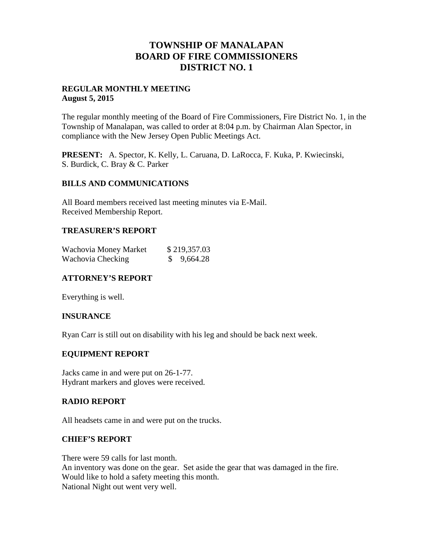# **TOWNSHIP OF MANALAPAN BOARD OF FIRE COMMISSIONERS DISTRICT NO. 1**

# **REGULAR MONTHLY MEETING August 5, 2015**

The regular monthly meeting of the Board of Fire Commissioners, Fire District No. 1, in the Township of Manalapan, was called to order at 8:04 p.m. by Chairman Alan Spector, in compliance with the New Jersey Open Public Meetings Act.

**PRESENT:** A. Spector, K. Kelly, L. Caruana, D. LaRocca, F. Kuka, P. Kwiecinski, S. Burdick, C. Bray & C. Parker

# **BILLS AND COMMUNICATIONS**

All Board members received last meeting minutes via E-Mail. Received Membership Report.

#### **TREASURER'S REPORT**

| Wachovia Money Market | \$219,357.03 |
|-----------------------|--------------|
| Wachovia Checking     | \$9,664.28   |

# **ATTORNEY'S REPORT**

Everything is well.

# **INSURANCE**

Ryan Carr is still out on disability with his leg and should be back next week.

# **EQUIPMENT REPORT**

Jacks came in and were put on 26-1-77. Hydrant markers and gloves were received.

# **RADIO REPORT**

All headsets came in and were put on the trucks.

#### **CHIEF'S REPORT**

There were 59 calls for last month. An inventory was done on the gear. Set aside the gear that was damaged in the fire. Would like to hold a safety meeting this month. National Night out went very well.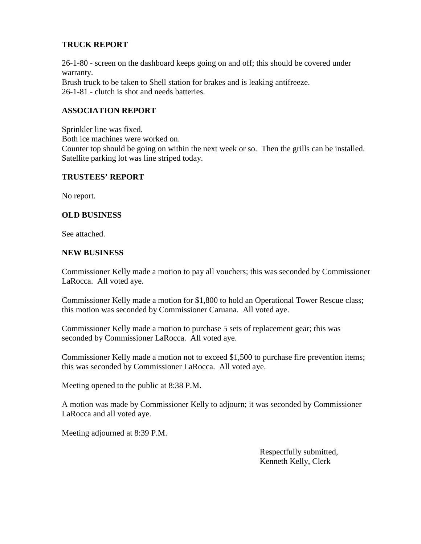# **TRUCK REPORT**

26-1-80 - screen on the dashboard keeps going on and off; this should be covered under warranty. Brush truck to be taken to Shell station for brakes and is leaking antifreeze. 26-1-81 - clutch is shot and needs batteries.

# **ASSOCIATION REPORT**

Sprinkler line was fixed. Both ice machines were worked on. Counter top should be going on within the next week or so. Then the grills can be installed. Satellite parking lot was line striped today.

# **TRUSTEES' REPORT**

No report.

# **OLD BUSINESS**

See attached.

# **NEW BUSINESS**

Commissioner Kelly made a motion to pay all vouchers; this was seconded by Commissioner LaRocca. All voted aye.

Commissioner Kelly made a motion for \$1,800 to hold an Operational Tower Rescue class; this motion was seconded by Commissioner Caruana. All voted aye.

Commissioner Kelly made a motion to purchase 5 sets of replacement gear; this was seconded by Commissioner LaRocca. All voted aye.

Commissioner Kelly made a motion not to exceed \$1,500 to purchase fire prevention items; this was seconded by Commissioner LaRocca. All voted aye.

Meeting opened to the public at 8:38 P.M.

A motion was made by Commissioner Kelly to adjourn; it was seconded by Commissioner LaRocca and all voted aye.

Meeting adjourned at 8:39 P.M.

Respectfully submitted, Kenneth Kelly, Clerk